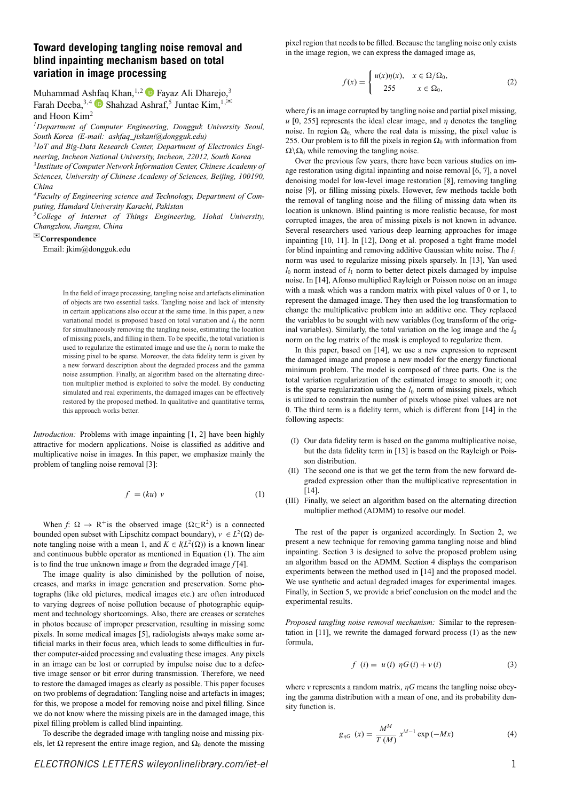# **Toward developing tangling noise removal and blind inpainting mechanism based on total variation in image processing**

Muhammad As[hfaq](https://orcid.org/0000-0002-1987-2402) Khan, <sup>1,2</sup> **P** Fayaz Ali Dharejo,<sup>3</sup> Farah Deeba,  $3,4$  Shahzad Ashraf,<sup>5</sup> Juntae Kim,  $1,\boxtimes$ and Hoon Kim2

*1Department of Computer Engineering, Dongguk University Seoul, South Korea (E-mail: ashfaq\_jiskani@dongguk.edu)*

*2IoT and Big-Data Research Center, Department of Electronics Engineering, Incheon National University, Incheon, 22012, South Korea*

*3Institute of Computer Network Information Center, Chinese Academy of Sciences, University of Chinese Academy of Sciences, Beijing, 100190, China*

*4Faculty of Engineering science and Technology, Department of Computing, Hamdard University Karachi, Pakistan*

*5College of Internet of Things Engineering, Hohai University, Changzhou, Jiangsu, China*

### ✉**Correspondence**

Email: jkim@dongguk.edu

In the field of image processing, tangling noise and artefacts elimination of objects are two essential tasks. Tangling noise and lack of intensity in certain applications also occur at the same time. In this paper, a new variational model is proposed based on total variation and  $l_0$  the norm for simultaneously removing the tangling noise, estimating the location of missing pixels, and filling in them. To be specific, the total variation is used to regularize the estimated image and use the  $l_0$  norm to make the missing pixel to be sparse. Moreover, the data fidelity term is given by a new forward description about the degraded process and the gamma noise assumption. Finally, an algorithm based on the alternating direction multiplier method is exploited to solve the model. By conducting simulated and real experiments, the damaged images can be effectively restored by the proposed method. In qualitative and quantitative terms, this approach works better.

*Introduction:* Problems with image inpainting [1, 2] have been highly attractive for modern applications. Noise is classified as additive and multiplicative noise in images. In this paper, we emphasize mainly the problem of tangling noise removal [3]:

$$
f = (ku) v \tag{1}
$$

When  $f: \Omega \to \mathbb{R}^+$  is the observed image  $(\Omega \subset \mathbb{R}^2)$  is a connected bounded open subset with Lipschitz compact boundary),  $v \in L^2(\Omega)$  denote tangling noise with a mean 1, and  $K \in l(L^2(\Omega))$  is a known linear and continuous bubble operator as mentioned in Equation (1). The aim is to find the true unknown image  $u$  from the degraded image  $f[4]$ .

The image quality is also diminished by the pollution of noise, creases, and marks in image generation and preservation. Some photographs (like old pictures, medical images etc.) are often introduced to varying degrees of noise pollution because of photographic equipment and technology shortcomings. Also, there are creases or scratches in photos because of improper preservation, resulting in missing some pixels. In some medical images [5], radiologists always make some artificial marks in their focus area, which leads to some difficulties in further computer-aided processing and evaluating these images. Any pixels in an image can be lost or corrupted by impulse noise due to a defective image sensor or bit error during transmission. Therefore, we need to restore the damaged images as clearly as possible. This paper focuses on two problems of degradation: Tangling noise and artefacts in images; for this, we propose a model for removing noise and pixel filling. Since we do not know where the missing pixels are in the damaged image, this pixel filling problem is called blind inpainting.

To describe the degraded image with tangling noise and missing pixels, let  $Ω$  represent the entire image region, and  $Ω_0$  denote the missing pixel region that needs to be filled. Because the tangling noise only exists in the image region, we can express the damaged image as,

$$
f(x) = \begin{cases} u(x)\eta(x), & x \in \Omega/\Omega_0, \\ 255 & x \in \Omega_0, \end{cases}
$$
 (2)

where *f* is an image corrupted by tangling noise and partial pixel missing,  $u$  [0, 255] represents the ideal clear image, and  $\eta$  denotes the tangling noise. In region  $Ω_0$ , where the real data is missing, the pixel value is 255. Our problem is to fill the pixels in region *Ω*<sup>0</sup> with information from  $\Omega \backslash \Omega_0$  while removing the tangling noise.

Over the previous few years, there have been various studies on image restoration using digital inpainting and noise removal [6, 7], a novel denoising model for low-level image restoration [8], removing tangling noise [9], or filling missing pixels. However, few methods tackle both the removal of tangling noise and the filling of missing data when its location is unknown. Blind painting is more realistic because, for most corrupted images, the area of missing pixels is not known in advance. Several researchers used various deep learning approaches for image inpainting [10, 11]. In [12], Dong et al. proposed a tight frame model for blind inpainting and removing additive Gaussian white noise. The *l*<sup>1</sup> norm was used to regularize missing pixels sparsely. In [13], Yan used  $l_0$  norm instead of  $l_1$  norm to better detect pixels damaged by impulse noise. In [14], Afonso multiplied Rayleigh or Poisson noise on an image with a mask which was a random matrix with pixel values of 0 or 1, to represent the damaged image. They then used the log transformation to change the multiplicative problem into an additive one. They replaced the variables to be sought with new variables (log transform of the original variables). Similarly, the total variation on the  $log$  image and the  $l_0$ norm on the log matrix of the mask is employed to regularize them.

In this paper, based on [14], we use a new expression to represent the damaged image and propose a new model for the energy functional minimum problem. The model is composed of three parts. One is the total variation regularization of the estimated image to smooth it; one is the sparse regularization using the  $l_0$  norm of missing pixels, which is utilized to constrain the number of pixels whose pixel values are not 0. The third term is a fidelity term, which is different from [14] in the following aspects:

- (I) Our data fidelity term is based on the gamma multiplicative noise, but the data fidelity term in [13] is based on the Rayleigh or Poisson distribution.
- (II) The second one is that we get the term from the new forward degraded expression other than the multiplicative representation in [14].
- (III) Finally, we select an algorithm based on the alternating direction multiplier method (ADMM) to resolve our model.

The rest of the paper is organized accordingly. In Section 2, we present a new technique for removing gamma tangling noise and blind inpainting. Section 3 is designed to solve the proposed problem using an algorithm based on the ADMM. Section 4 displays the comparison experiments between the method used in [14] and the proposed model. We use synthetic and actual degraded images for experimental images. Finally, in Section 5, we provide a brief conclusion on the model and the experimental results.

*Proposed tangling noise removal mechanism:* Similar to the representation in [11], we rewrite the damaged forward process (1) as the new formula,

$$
f(i) = u(i) \eta G(i) + v(i)
$$
 (3)

where *v* represents a random matrix,  $\eta G$  means the tangling noise obeying the gamma distribution with a mean of one, and its probability density function is.

$$
g_{\eta G} (x) = \frac{M^M}{T(M)} x^{M-1} \exp(-Mx)
$$
 (4)

## *ELECTRONICS LETTERS [wileyonlinelibrary.com/iet-el](http://wileyonlinelibrary.com/iet-el)* 1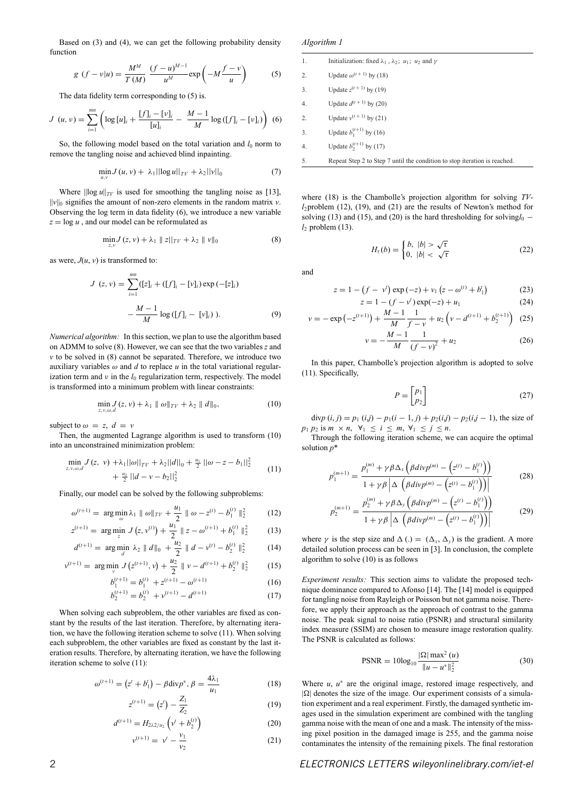Based on (3) and (4), we can get the following probability density function

$$
g(f - v|u) = \frac{M^M}{T(M)} \frac{(f - u)^{M-1}}{u^M} \exp\left(-M\frac{f - v}{u}\right) \tag{5}
$$

The data fidelity term corresponding to (5) is.

$$
J(u, v) = \sum_{i=1}^{mn} \left( \log [u]_i + \frac{[f]_i - [v]_i}{[u]_i} - \frac{M-1}{M} \log ([f]_i - [v]_i) \right) (6)
$$

So, the following model based on the total variation and  $l_0$  norm to remove the tangling noise and achieved blind inpainting.

$$
\min_{u,v} J(u,v) + \lambda_1 ||\log u||_{TV} + \lambda_2 ||v||_0 \tag{7}
$$

Where  $\|\log u\|_{TV}$  is used for smoothing the tangling noise as [13],  $||v||_0$  signifies the amount of non-zero elements in the random matrix *v*. Observing the log term in data fidelity (6), we introduce a new variable  $z = \log u$ , and our model can be reformulated as

$$
\min_{z,v} J(z,v) + \lambda_1 \|z\|_{TV} + \lambda_2 \|v\|_0 \tag{8}
$$

as were,  $J(u, v)$  is transformed to:

$$
J(z, v) = \sum_{i=1}^{mn} ([z]_i + ([f]_i - [v]_i) \exp(-[z]_i)
$$

$$
-\frac{M-1}{M} \log([f]_i - [v]_i)).
$$
 (9)

*Numerical algorithm:* In this section, we plan to use the algorithm based on ADMM to solve (8). However, we can see that the two variables *z* and *v* to be solved in (8) cannot be separated. Therefore, we introduce two auxiliary variables  $\omega$  and  $d$  to replace  $u$  in the total variational regularization term and  $\nu$  in the  $l_0$  regularization term, respectively. The model is transformed into a minimum problem with linear constraints:

$$
\min_{z,v,\omega,d} J(z,v) + \lambda_1 \|\omega\|_{TV} + \lambda_2 \|\mathbf{d}\|_0, \tag{10}
$$

subject to  $\omega = z$ ,  $d = v$ 

Then, the augmented Lagrange algorithm is used to transform (10) into an unconstrained minimization problem:

$$
\min_{z,v,\omega,d} J(z, v) + \lambda_1 ||\omega||_{TV} + \lambda_2 ||d||_0 + \frac{u_1}{2} ||\omega - z - b_1||_2^2
$$
\n
$$
+ \frac{u_2}{2} ||d - v - b_2||_2^2
$$
\n(11)

Finally, our model can be solved by the following subproblems:

$$
\omega^{(t+1)} = \arg\min_{\omega} \lambda_1 \|\omega\|_{TV} + \frac{u_1}{2} \|\omega - z^{(t)} - b_1^{(t)}\|_2^2 \tag{12}
$$

$$
z^{(t+1)} = \arg\min_{z} J(z, v^{(t)}) + \frac{u_1}{2} || z - \omega^{(t+1)} + b_1^{(t)} ||_2^2 \tag{13}
$$

$$
d^{(t+1)} = \arg\min_{d} \lambda_2 \parallel d \parallel_0 + \frac{u_2}{2} \parallel d - v^{(t)} - b_2^{(t)} \parallel_2^2
$$
 (14)  

$$
v^{(t+1)} = \arg\min_{d} J(z^{(t+1)}, v) + \frac{u_2}{2} \parallel v - d^{(t+1)} + b_2^{(t)} \parallel_2^2
$$
 (15)

$$
= \arg\min_{v} J(z^{(t+1)}, v) + \frac{u_2}{2} \| v - d^{(t+1)} + b_2^{(t)} \|_2^2 \qquad (15)
$$

$$
b_1^{(t+1)} = b_1^{(t)} + z^{(t+1)} - \omega^{(t+1)}
$$
\n(16)

$$
b_1^{(t+1)} = b_1^{(t)} + z^{(t+1)} - \omega^{(t+1)}
$$
(16)  

$$
b_2^{(t+1)} = b_2^{(t)} + v^{(t+1)} - d^{(t+1)}
$$
(17)

$$
b_2^{(t+1)} = b_2^{(t)} + v^{(t+1)} - d^{(t+1)} \tag{17}
$$

When solving each subproblem, the other variables are fixed as constant by the results of the last iteration. Therefore, by alternating iteration, we have the following iteration scheme to solve (11). When solving each subproblem, the other variables are fixed as constant by the last iteration results. Therefore, by alternating iteration, we have the following iteration scheme to solve (11):

$$
\omega^{(t+1)} = (z^t + b_1^t) - \beta \operatorname{div} p^*, \beta = \frac{4\lambda_1}{u_1}
$$
 (18)

$$
z^{(t+1)} = (z^t) - \frac{Z_1}{Z_2} \tag{19}
$$

$$
d^{(t+1)} = H_{2\lambda 2/u_2} \left( v^t + b_2^{(t)} \right)
$$
 (20)

$$
v^{(t+1)} = v^t - \frac{v_1}{v_2} \tag{21}
$$

*Algorithm 1*

| 1. | Initialization: fixed $\lambda_1$ , $\lambda_2$ ; $u_1$ ; $u_2$ and $\gamma$ |
|----|------------------------------------------------------------------------------|
| 2. | Update $\omega^{(t+1)}$ by (18)                                              |
| 3. | Update $z^{(t+1)}$ by (19)                                                   |
| 4. | Update $d^{(t+1)}$ by (20)                                                   |
| 2. | Update $v^{(t+1)}$ by (21)                                                   |
| 3. | Update $b_1^{(t+1)}$ by (16)                                                 |
| 4. | Update $b_2^{(t+1)}$ by (17)                                                 |
| 5. | Repeat Step 2 to Step 7 until the condition to stop iteration is reached.    |

where (18) is the Chambolle's projection algorithm for solving *TVl*2problem (12), (19), and (21) are the results of Newton's method for solving (13) and (15), and (20) is the hard thresholding for solving $l_0$  −  $l_2$  problem (13).

$$
H_{\tau}(b) = \begin{cases} b, & |b| > \sqrt{\tau} \\ 0, & |b| < \sqrt{\tau} \end{cases} \tag{22}
$$

and

*p*

*p*

$$
z = 1 - (f - v^{t}) \exp(-z) + v_1 (z - \omega^{(t)} + b_1^{t})
$$
 (23)

$$
z = 1 - (f - v^{t}) \exp(-z) + u_1
$$
 (24)

$$
v = -\exp\left(-z^{(t+1)}\right) + \frac{M-1}{M} \frac{1}{f-v} + u_2\left(v - d^{(t+1)} + b_2^{(t+1)}\right) \tag{25}
$$

$$
v = -\frac{M-1}{M} \frac{1}{(f-v)^2} + u_2 \tag{26}
$$

In this paper, Chambolle's projection algorithm is adopted to solve (11). Specifically,

$$
P = \begin{bmatrix} p_1 \\ p_2 \end{bmatrix} \tag{27}
$$

div $p(i, j) = p_1(i, j) - p_1(i - 1, j) + p_2(i, j) - p_2(i, j - 1)$ , the size of  $p_1 p_2$  is  $m \times n$ ,  $\forall_1 \leq i \leq m$ ,  $\forall_1 \leq j \leq n$ .

Through the following iteration scheme, we can acquire the optimal solution *p*\*

$$
\binom{(m+1)}{1} = \frac{p_1^{(m)} + \gamma \beta \Delta_x \left( \beta \, div p^{(m)} - \left( z^{(t)} - b_1^{(t)} \right) \right)}{1 + \gamma \beta \left| \Delta \left( \beta \, div p^{(m)} - \left( z^{(t)} - b_1^{(t)} \right) \right) \right|} \tag{28}
$$

$$
S_2^{(m+1)} = \frac{p_2^{(m)} + \gamma \beta \Delta_y \left(\beta \text{div} p^{(m)} - \left(z^{(t)} - b_1^{(t)}\right)\right)}{1 + \gamma \beta \left|\Delta \left(\beta \text{div} p^{(m)} - \left(z^{(t)} - b_1^{(t)}\right)\right)\right|} \tag{29}
$$

where  $\gamma$  is the step size and  $\Delta(.) = (\Delta_x, \Delta_y)$  is the gradient. A more detailed solution process can be seen in [3]. In conclusion, the complete algorithm to solve (10) is as follows

*Experiment results:* This section aims to validate the proposed technique dominance compared to Afonso [14]. The [14] model is equipped for tangling noise from Rayleigh or Poisson but not gamma noise. Therefore, we apply their approach as the approach of contrast to the gamma noise. The peak signal to noise ratio (PSNR) and structural similarity index measure (SSIM) are chosen to measure image restoration quality. The PSNR is calculated as follows:

$$
PSNR = 10\log_{10}\frac{|\Omega| \max^{2}(u)}{\|u - u^{*}\|_{2}^{2}}
$$
\n(30)

Where  $u$ ,  $u^*$  are the original image, restored image respectively, and  $|\Omega|$  denotes the size of the image. Our experiment consists of a simulation experiment and a real experiment. Firstly, the damaged synthetic images used in the simulation experiment are combined with the tangling gamma noise with the mean of one and a mask. The intensity of the missing pixel position in the damaged image is 255, and the gamma noise contaminates the intensity of the remaining pixels. The final restoration

## 2 *ELECTRONICS LETTERS [wileyonlinelibrary.com/iet-el](http://wileyonlinelibrary.com/iet-el)*